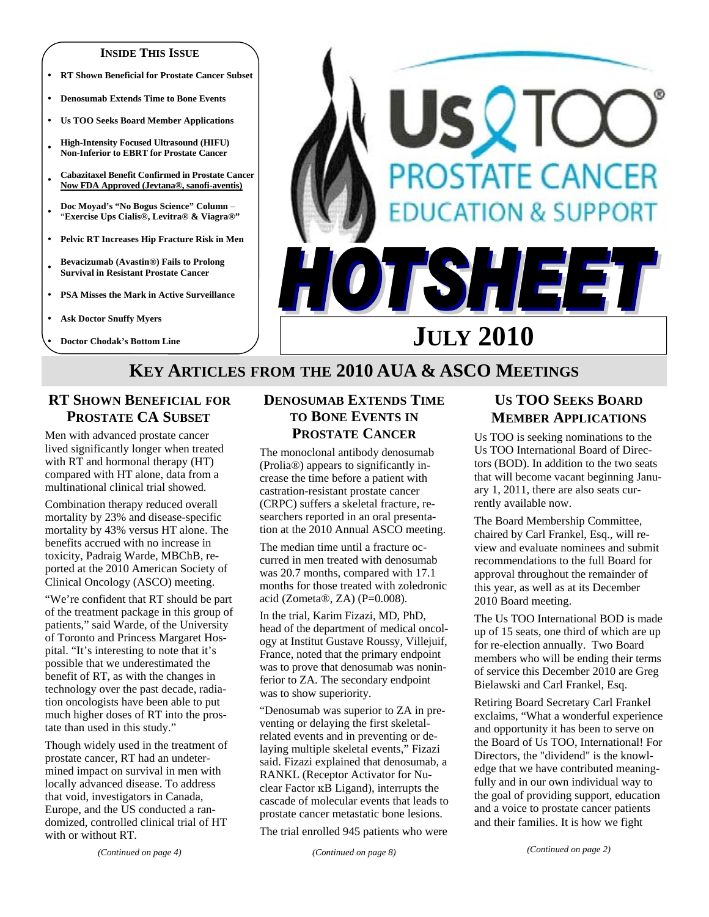#### **INSIDE THIS ISSUE**

- **RT Shown Beneficial for Prostate Cancer Subset**
- y **Denosumab Extends Time to Bone Events**
- y **Us TOO Seeks Board Member Applications**
- <sup>y</sup>**High-Intensity Focused Ultrasound (HIFU) Non-Inferior to EBRT for Prostate Cancer**
- <sup>y</sup>**Cabazitaxel Benefit Confirmed in Prostate Cancer Now FDA Approved (Jevtana®, sanofi-aventis)**
- <sup>y</sup>**Doc Moyad's "No Bogus Science" Column**  "**Exercise Ups Cialis®, Levitra® & Viagra®"**
- y **Pelvic RT Increases Hip Fracture Risk in Men**
- <sup>y</sup>**Bevacizumab (Avastin®) Fails to Prolong Survival in Resistant Prostate Cancer**
- y **PSA Misses the Mark in Active Surveillance**
- **Ask Doctor Snuffy Myers**
- y **Doctor Chodak's Bottom Line**

# SQT **PROSTATE CANCER ATION & SUPPORT** TSHEE **JULY 2010**

# **KEY ARTICLES FROM THE 2010 AUA & ASCO MEETINGS**

## **RT SHOWN BENEFICIAL FOR PROSTATE CA SUBSET**

Men with advanced prostate cancer lived significantly longer when treated with RT and hormonal therapy (HT) compared with HT alone, data from a multinational clinical trial showed.

Combination therapy reduced overall mortality by 23% and disease-specific mortality by 43% versus HT alone. The benefits accrued with no increase in toxicity, Padraig Warde, MBChB, reported at the 2010 American Society of Clinical Oncology (ASCO) meeting.

"We're confident that RT should be part of the treatment package in this group of patients," said Warde, of the University of Toronto and Princess Margaret Hospital. "It's interesting to note that it's possible that we underestimated the benefit of RT, as with the changes in technology over the past decade, radiation oncologists have been able to put much higher doses of RT into the prostate than used in this study."

Though widely used in the treatment of prostate cancer, RT had an undetermined impact on survival in men with locally advanced disease. To address that void, investigators in Canada, Europe, and the US conducted a randomized, controlled clinical trial of HT with or without RT.

## **DENOSUMAB EXTENDS TIME TO BONE EVENTS IN PROSTATE CANCER**

The monoclonal antibody denosumab (Prolia®) appears to significantly increase the time before a patient with castration-resistant prostate cancer (CRPC) suffers a skeletal fracture, researchers reported in an oral presentation at the 2010 Annual ASCO meeting.

The median time until a fracture occurred in men treated with denosumab was 20.7 months, compared with 17.1 months for those treated with zoledronic acid (Zometa®, ZA) (P=0.008).

In the trial, Karim Fizazi, MD, PhD, head of the department of medical oncology at Institut Gustave Roussy, Villejuif, France, noted that the primary endpoint was to prove that denosumab was noninferior to ZA. The secondary endpoint was to show superiority.

"Denosumab was superior to ZA in preventing or delaying the first skeletalrelated events and in preventing or delaying multiple skeletal events," Fizazi said. Fizazi explained that denosumab, a RANKL (Receptor Activator for Nuclear Factor κB Ligand), interrupts the cascade of molecular events that leads to prostate cancer metastatic bone lesions.

The trial enrolled 945 patients who were

#### *(Continued on page 8)*

# **US TOO SEEKS BOARD MEMBER APPLICATIONS**

Us TOO is seeking nominations to the Us TOO International Board of Directors (BOD). In addition to the two seats that will become vacant beginning January 1, 2011, there are also seats currently available now.

The Board Membership Committee, chaired by Carl Frankel, Esq., will review and evaluate nominees and submit recommendations to the full Board for approval throughout the remainder of this year, as well as at its December 2010 Board meeting.

The Us TOO International BOD is made up of 15 seats, one third of which are up for re-election annually. Two Board members who will be ending their terms of service this December 2010 are Greg Bielawski and Carl Frankel, Esq.

Retiring Board Secretary Carl Frankel exclaims, "What a wonderful experience and opportunity it has been to serve on the Board of Us TOO, International! For Directors, the "dividend" is the knowledge that we have contributed meaningfully and in our own individual way to the goal of providing support, education and a voice to prostate cancer patients and their families. It is how we fight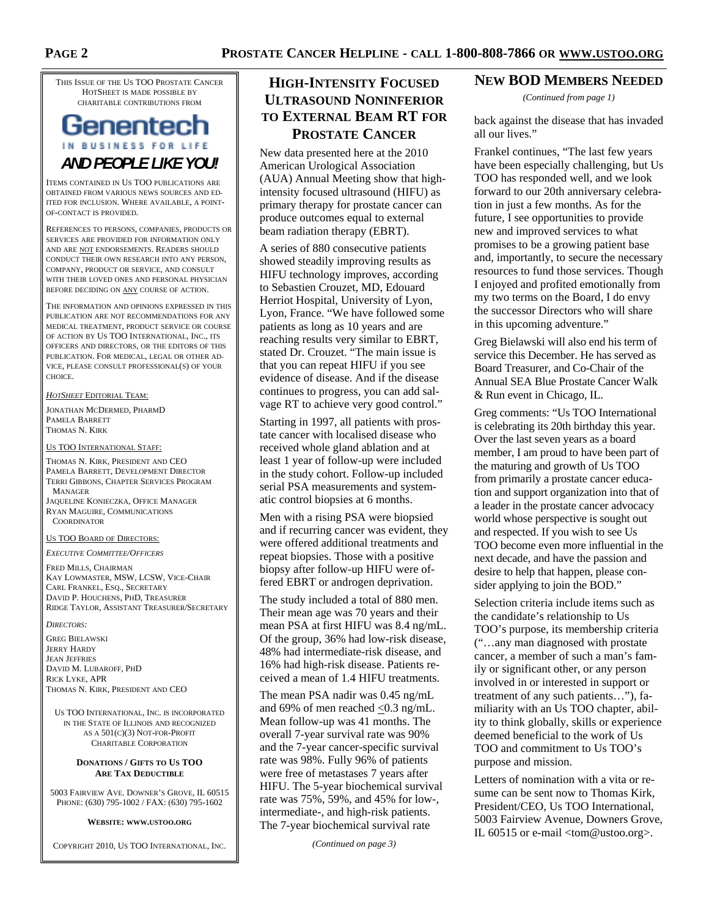THIS ISSUE OF THE US TOO PROSTATE CANCER HOTSHEET IS MADE POSSIBLE BY CHARITABLE CONTRIBUTIONS FROM

# Genentech IN BUSINESS FOR LIFE *AND PEOPLE LIKE YOU!*

ITEMS CONTAINED IN US TOO PUBLICATIONS ARE OBTAINED FROM VARIOUS NEWS SOURCES AND ED-ITED FOR INCLUSION. WHERE AVAILABLE, A POINT-OF-CONTACT IS PROVIDED.

REFERENCES TO PERSONS, COMPANIES, PRODUCTS OR SERVICES ARE PROVIDED FOR INFORMATION ONLY AND ARE NOT ENDORSEMENTS. READERS SHOULD CONDUCT THEIR OWN RESEARCH INTO ANY PERSON, COMPANY, PRODUCT OR SERVICE, AND CONSULT WITH THEIR LOVED ONES AND PERSONAL PHYSICIAN BEFORE DECIDING ON ANY COURSE OF ACTION.

THE INFORMATION AND OPINIONS EXPRESSED IN THIS PUBLICATION ARE NOT RECOMMENDATIONS FOR ANY MEDICAL TREATMENT, PRODUCT SERVICE OR COURSE OF ACTION BY US TOO INTERNATIONAL, INC., ITS OFFICERS AND DIRECTORS, OR THE EDITORS OF THIS PUBLICATION. FOR MEDICAL, LEGAL OR OTHER AD-VICE, PLEASE CONSULT PROFESSIONAL(S) OF YOUR CHOICE.

*HOTSHEET* EDITORIAL TEAM:

JONATHAN MCDERMED, PHARMD PAMELA BARRETT THOMAS N. KIRK

#### US TOO INTERNATIONAL STAFF:

THOMAS N. KIRK, PRESIDENT AND CEO PAMELA BARRETT, DEVELOPMENT DIRECTOR TERRI GIBBONS, CHAPTER SERVICES PROGRAM MANAGER JAQUELINE KONIECZKA, OFFICE MANAGER RYAN MAGUIRE, COMMUNICATIONS **COORDINATOR** 

#### US TOO BOARD OF DIRECTORS:

*EXECUTIVE COMMITTEE/OFFICERS*

FRED MILLS, CHAIRMAN KAY LOWMASTER, MSW, LCSW, VICE-CHAIR CARL FRANKEL, ESQ., SECRETARY DAVID P. HOUCHENS, PHD, TREASURER RIDGE TAYLOR, ASSISTANT TREASURER/SECRETARY

*DIRECTORS:* 

GREG BIELAWSKI JERRY HARDY JEAN JEFFRIES DAVID M. LUBAROFF, PHD RICK LYKE, APR THOMAS N. KIRK, PRESIDENT AND CEO

US TOO INTERNATIONAL, INC. IS INCORPORATED IN THE STATE OF ILLINOIS AND RECOGNIZED AS A 501(C)(3) NOT-FOR-PROFIT CHARITABLE CORPORATION

#### **DONATIONS / GIFTS TO US TOO ARE TAX DEDUCTIBLE**

5003 FAIRVIEW AVE. DOWNER'S GROVE, IL 60515 PHONE: (630) 795-1002 / FAX: (630) 795-1602

#### **WEBSITE: WWW.USTOO.ORG**

COPYRIGHT 2010, US TOO INTERNATIONAL, INC.

# **HIGH-INTENSITY FOCUSED ULTRASOUND NONINFERIOR TO EXTERNAL BEAM RT FOR PROSTATE CANCER**

New data presented here at the 2010 American Urological Association (AUA) Annual Meeting show that highintensity focused ultrasound (HIFU) as primary therapy for prostate cancer can produce outcomes equal to external beam radiation therapy (EBRT).

A series of 880 consecutive patients showed steadily improving results as HIFU technology improves, according to Sebastien Crouzet, MD, Edouard Herriot Hospital, University of Lyon, Lyon, France. "We have followed some patients as long as 10 years and are reaching results very similar to EBRT, stated Dr. Crouzet. "The main issue is that you can repeat HIFU if you see evidence of disease. And if the disease continues to progress, you can add salvage RT to achieve very good control."

Starting in 1997, all patients with prostate cancer with localised disease who received whole gland ablation and at least 1 year of follow-up were included in the study cohort. Follow-up included serial PSA measurements and systematic control biopsies at 6 months.

Men with a rising PSA were biopsied and if recurring cancer was evident, they were offered additional treatments and repeat biopsies. Those with a positive biopsy after follow-up HIFU were offered EBRT or androgen deprivation.

The study included a total of 880 men. Their mean age was 70 years and their mean PSA at first HIFU was 8.4 ng/mL. Of the group, 36% had low-risk disease, 48% had intermediate-risk disease, and 16% had high-risk disease. Patients received a mean of 1.4 HIFU treatments.

The mean PSA nadir was 0.45 ng/mL and 69% of men reached <0.3 ng/mL. Mean follow-up was 41 months. The overall 7-year survival rate was 90% and the 7-year cancer-specific survival rate was 98%. Fully 96% of patients were free of metastases 7 years after HIFU. The 5-year biochemical survival rate was 75%, 59%, and 45% for low-, intermediate-, and high-risk patients. The 7-year biochemical survival rate

*(Continued on page 3)* 

## **NEW BOD MEMBERS NEEDED**

*(Continued from page 1)* 

back against the disease that has invaded all our lives."

Frankel continues, "The last few years have been especially challenging, but Us TOO has responded well, and we look forward to our 20th anniversary celebration in just a few months. As for the future, I see opportunities to provide new and improved services to what promises to be a growing patient base and, importantly, to secure the necessary resources to fund those services. Though I enjoyed and profited emotionally from my two terms on the Board, I do envy the successor Directors who will share in this upcoming adventure."

Greg Bielawski will also end his term of service this December. He has served as Board Treasurer, and Co-Chair of the Annual SEA Blue Prostate Cancer Walk & Run event in Chicago, IL.

Greg comments: "Us TOO International is celebrating its 20th birthday this year. Over the last seven years as a board member, I am proud to have been part of the maturing and growth of Us TOO from primarily a prostate cancer education and support organization into that of a leader in the prostate cancer advocacy world whose perspective is sought out and respected. If you wish to see Us TOO become even more influential in the next decade, and have the passion and desire to help that happen, please consider applying to join the BOD."

Selection criteria include items such as the candidate's relationship to Us TOO's purpose, its membership criteria ("…any man diagnosed with prostate cancer, a member of such a man's family or significant other, or any person involved in or interested in support or treatment of any such patients…"), familiarity with an Us TOO chapter, ability to think globally, skills or experience deemed beneficial to the work of Us TOO and commitment to Us TOO's purpose and mission.

Letters of nomination with a vita or resume can be sent now to Thomas Kirk, President/CEO, Us TOO International, 5003 Fairview Avenue, Downers Grove, IL 60515 or e-mail <tom@ustoo.org>.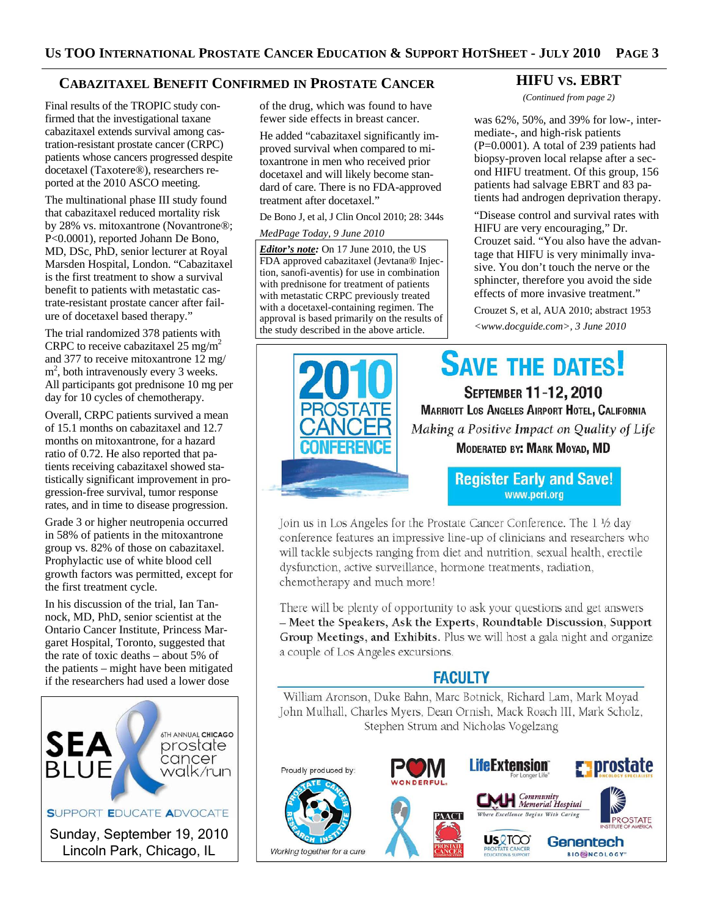# **CABAZITAXEL BENEFIT CONFIRMED IN PROSTATE CANCER**

Final results of the TROPIC study confirmed that the investigational taxane cabazitaxel extends survival among castration-resistant prostate cancer (CRPC) patients whose cancers progressed despite docetaxel (Taxotere®), researchers reported at the 2010 ASCO meeting.

The multinational phase III study found that cabazitaxel reduced mortality risk by 28% vs. mitoxantrone (Novantrone®; P<0.0001), reported Johann De Bono, MD, DSc, PhD, senior lecturer at Royal Marsden Hospital, London. "Cabazitaxel is the first treatment to show a survival benefit to patients with metastatic castrate-resistant prostate cancer after failure of docetaxel based therapy."

The trial randomized 378 patients with CRPC to receive cabazitaxel 25 mg/m<sup>2</sup> and 377 to receive mitoxantrone 12 mg/ m<sup>2</sup>, both intravenously every 3 weeks. All participants got prednisone 10 mg per day for 10 cycles of chemotherapy.

Overall, CRPC patients survived a mean of 15.1 months on cabazitaxel and 12.7 months on mitoxantrone, for a hazard ratio of 0.72. He also reported that patients receiving cabazitaxel showed statistically significant improvement in progression-free survival, tumor response rates, and in time to disease progression.

Grade 3 or higher neutropenia occurred in 58% of patients in the mitoxantrone group vs. 82% of those on cabazitaxel. Prophylactic use of white blood cell growth factors was permitted, except for the first treatment cycle.

In his discussion of the trial, Ian Tannock, MD, PhD, senior scientist at the Ontario Cancer Institute, Princess Margaret Hospital, Toronto, suggested that the rate of toxic deaths – about 5% of the patients – might have been mitigated if the researchers had used a lower dose



of the drug, which was found to have fewer side effects in breast cancer.

He added "cabazitaxel significantly improved survival when compared to mitoxantrone in men who received prior docetaxel and will likely become standard of care. There is no FDA-approved treatment after docetaxel."

De Bono J, et al, J Clin Oncol 2010; 28: 344s

#### *MedPage Today, 9 June 2010*

*Editor's note:* On 17 June 2010, the US FDA approved cabazitaxel (Jevtana® Injection, sanofi-aventis) for use in combination with prednisone for treatment of patients with metastatic CRPC previously treated with a docetaxel-containing regimen. The approval is based primarily on the results of the study described in the above article.

## **HIFU VS. EBRT**

*(Continued from page 2)* 

was 62%, 50%, and 39% for low-, intermediate-, and high-risk patients (P=0.0001). A total of 239 patients had biopsy-proven local relapse after a second HIFU treatment. Of this group, 156 patients had salvage EBRT and 83 patients had androgen deprivation therapy.

"Disease control and survival rates with HIFU are very encouraging," Dr. Crouzet said. "You also have the advantage that HIFU is very minimally invasive. You don't touch the nerve or the sphincter, therefore you avoid the side effects of more invasive treatment."

Crouzet S, et al, AUA 2010; abstract 1953 *<www.docguide.com>, 3 June 2010* 

**SAVE THE DATES! SEPTEMBER 11-12, 2010 MARRIOTT LOS ANGELES AIRPORT HOTEL, CALIFORNIA** Making a Positive Impact on Quality of Life MODERATED BY: MARK MOYAD, MD

**Register Early and Save!** www.pcri.org

Join us in Los Angeles for the Prostate Cancer Conference. The 1 1/2 day conference features an impressive line-up of clinicians and researchers who will tackle subjects ranging from diet and nutrition, sexual health, erectile dysfunction, active surveillance, hormone treatments, radiation, chemotherapy and much more!

There will be plenty of opportunity to ask your questions and get answers - Meet the Speakers, Ask the Experts, Roundtable Discussion, Support Group Meetings, and Exhibits. Plus we will host a gala night and organize a couple of Los Angeles excursions.

# **FACULTY**

William Aronson, Duke Bahn, Marc Botnick, Richard Lam, Mark Moyad John Mulhall, Charles Myers, Dean Ornish, Mack Roach III, Mark Scholz, Stephen Strum and Nicholas Vogelzang

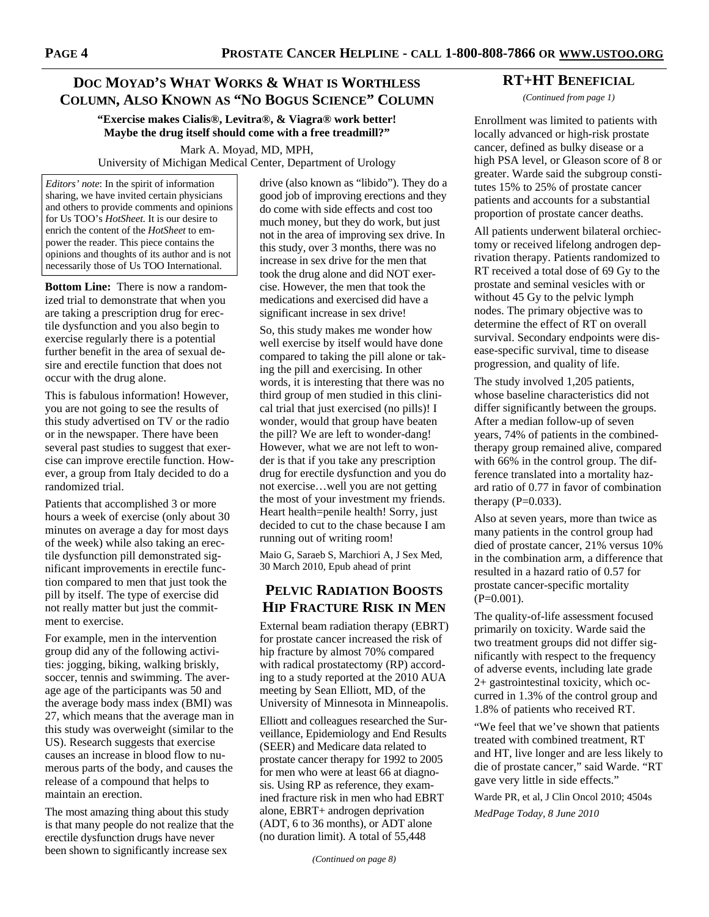# **DOC MOYAD'S WHAT WORKS & WHAT IS WORTHLESS COLUMN, ALSO KNOWN AS "NO BOGUS SCIENCE" COLUMN**

**"Exercise makes Cialis®, Levitra®, & Viagra® work better! Maybe the drug itself should come with a free treadmill?"** 

Mark A. Moyad, MD, MPH, University of Michigan Medical Center, Department of Urology

*Editors' note*: In the spirit of information sharing, we have invited certain physicians and others to provide comments and opinions for Us TOO's *HotSheet.* It is our desire to enrich the content of the *HotSheet* to empower the reader. This piece contains the opinions and thoughts of its author and is not necessarily those of Us TOO International.

**Bottom Line:** There is now a randomized trial to demonstrate that when you are taking a prescription drug for erectile dysfunction and you also begin to exercise regularly there is a potential further benefit in the area of sexual desire and erectile function that does not occur with the drug alone.

This is fabulous information! However, you are not going to see the results of this study advertised on TV or the radio or in the newspaper. There have been several past studies to suggest that exercise can improve erectile function. However, a group from Italy decided to do a randomized trial.

Patients that accomplished 3 or more hours a week of exercise (only about 30 minutes on average a day for most days of the week) while also taking an erectile dysfunction pill demonstrated significant improvements in erectile function compared to men that just took the pill by itself. The type of exercise did not really matter but just the commitment to exercise.

For example, men in the intervention group did any of the following activities: jogging, biking, walking briskly, soccer, tennis and swimming. The average age of the participants was 50 and the average body mass index (BMI) was 27, which means that the average man in this study was overweight (similar to the US). Research suggests that exercise causes an increase in blood flow to numerous parts of the body, and causes the release of a compound that helps to maintain an erection.

The most amazing thing about this study is that many people do not realize that the erectile dysfunction drugs have never been shown to significantly increase sex

drive (also known as "libido"). They do a good job of improving erections and they do come with side effects and cost too much money, but they do work, but just not in the area of improving sex drive. In this study, over 3 months, there was no increase in sex drive for the men that took the drug alone and did NOT exercise. However, the men that took the medications and exercised did have a significant increase in sex drive!

So, this study makes me wonder how well exercise by itself would have done compared to taking the pill alone or taking the pill and exercising. In other words, it is interesting that there was no third group of men studied in this clinical trial that just exercised (no pills)! I wonder, would that group have beaten the pill? We are left to wonder-dang! However, what we are not left to wonder is that if you take any prescription drug for erectile dysfunction and you do not exercise…well you are not getting the most of your investment my friends. Heart health=penile health! Sorry, just decided to cut to the chase because I am running out of writing room!

Maio G, Saraeb S, Marchiori A, J Sex Med, 30 March 2010, Epub ahead of print

# **PELVIC RADIATION BOOSTS HIP FRACTURE RISK IN MEN**

External beam radiation therapy (EBRT) for prostate cancer increased the risk of hip fracture by almost 70% compared with radical prostatectomy (RP) according to a study reported at the 2010 AUA meeting by Sean Elliott, MD, of the University of Minnesota in Minneapolis.

Elliott and colleagues researched the Surveillance, Epidemiology and End Results (SEER) and Medicare data related to prostate cancer therapy for 1992 to 2005 for men who were at least 66 at diagnosis. Using RP as reference, they examined fracture risk in men who had EBRT alone, EBRT+ androgen deprivation (ADT, 6 to 36 months), or ADT alone (no duration limit). A total of 55,448

## **RT+HT BENEFICIAL**

*(Continued from page 1)* 

Enrollment was limited to patients with locally advanced or high-risk prostate cancer, defined as bulky disease or a high PSA level, or Gleason score of 8 or greater. Warde said the subgroup constitutes 15% to 25% of prostate cancer patients and accounts for a substantial proportion of prostate cancer deaths.

All patients underwent bilateral orchiectomy or received lifelong androgen deprivation therapy. Patients randomized to RT received a total dose of 69 Gy to the prostate and seminal vesicles with or without 45 Gy to the pelvic lymph nodes. The primary objective was to determine the effect of RT on overall survival. Secondary endpoints were disease-specific survival, time to disease progression, and quality of life.

The study involved 1,205 patients, whose baseline characteristics did not differ significantly between the groups. After a median follow-up of seven years, 74% of patients in the combinedtherapy group remained alive, compared with 66% in the control group. The difference translated into a mortality hazard ratio of 0.77 in favor of combination therapy  $(P=0.033)$ .

Also at seven years, more than twice as many patients in the control group had died of prostate cancer, 21% versus 10% in the combination arm, a difference that resulted in a hazard ratio of 0.57 for prostate cancer-specific mortality  $(P=0.001)$ .

The quality-of-life assessment focused primarily on toxicity. Warde said the two treatment groups did not differ significantly with respect to the frequency of adverse events, including late grade 2+ gastrointestinal toxicity, which occurred in 1.3% of the control group and 1.8% of patients who received RT.

"We feel that we've shown that patients treated with combined treatment, RT and HT, live longer and are less likely to die of prostate cancer," said Warde. "RT gave very little in side effects."

Warde PR, et al, J Clin Oncol 2010; 4504s *MedPage Today, 8 June 2010*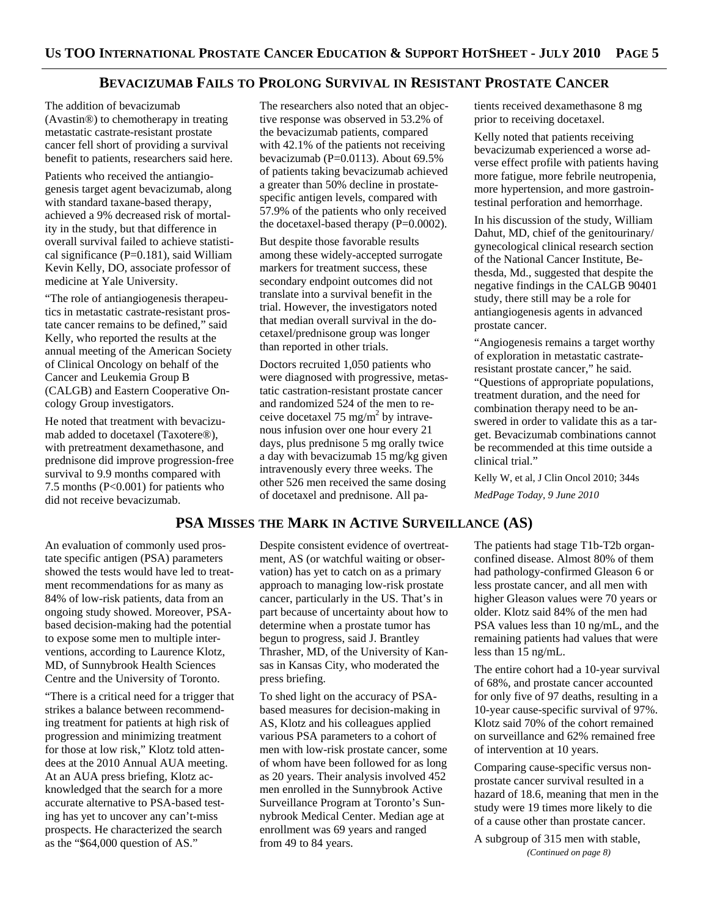## **BEVACIZUMAB FAILS TO PROLONG SURVIVAL IN RESISTANT PROSTATE CANCER**

The addition of bevacizumab (Avastin®) to chemotherapy in treating metastatic castrate-resistant prostate cancer fell short of providing a survival benefit to patients, researchers said here.

Patients who received the antiangiogenesis target agent bevacizumab, along with standard taxane-based therapy, achieved a 9% decreased risk of mortality in the study, but that difference in overall survival failed to achieve statistical significance (P=0.181), said William Kevin Kelly, DO, associate professor of medicine at Yale University.

"The role of antiangiogenesis therapeutics in metastatic castrate-resistant prostate cancer remains to be defined," said Kelly, who reported the results at the annual meeting of the American Society of Clinical Oncology on behalf of the Cancer and Leukemia Group B (CALGB) and Eastern Cooperative Oncology Group investigators.

He noted that treatment with bevacizumab added to docetaxel (Taxotere®), with pretreatment dexamethasone, and prednisone did improve progression-free survival to 9.9 months compared with 7.5 months (P<0.001) for patients who did not receive bevacizumab.

An evaluation of commonly used prostate specific antigen (PSA) parameters showed the tests would have led to treatment recommendations for as many as 84% of low-risk patients, data from an ongoing study showed. Moreover, PSAbased decision-making had the potential to expose some men to multiple interventions, according to Laurence Klotz, MD, of Sunnybrook Health Sciences Centre and the University of Toronto.

"There is a critical need for a trigger that strikes a balance between recommending treatment for patients at high risk of progression and minimizing treatment for those at low risk," Klotz told attendees at the 2010 Annual AUA meeting. At an AUA press briefing, Klotz acknowledged that the search for a more accurate alternative to PSA-based testing has yet to uncover any can't-miss prospects. He characterized the search as the "\$64,000 question of AS."

The researchers also noted that an objective response was observed in 53.2% of the bevacizumab patients, compared with 42.1% of the patients not receiving bevacizumab ( $P=0.0113$ ). About 69.5% of patients taking bevacizumab achieved a greater than 50% decline in prostatespecific antigen levels, compared with 57.9% of the patients who only received the docetaxel-based therapy  $(P=0.0002)$ .

But despite those favorable results among these widely-accepted surrogate markers for treatment success, these secondary endpoint outcomes did not translate into a survival benefit in the trial. However, the investigators noted that median overall survival in the docetaxel/prednisone group was longer than reported in other trials.

Doctors recruited 1,050 patients who were diagnosed with progressive, metastatic castration-resistant prostate cancer and randomized 524 of the men to receive docetaxel 75 mg/m<sup>2</sup> by intravenous infusion over one hour every 21 days, plus prednisone 5 mg orally twice a day with bevacizumab 15 mg/kg given intravenously every three weeks. The other 526 men received the same dosing of docetaxel and prednisone. All pa-

**PSA MISSES THE MARK IN ACTIVE SURVEILLANCE (AS)** 

Despite consistent evidence of overtreatment, AS (or watchful waiting or observation) has yet to catch on as a primary approach to managing low-risk prostate cancer, particularly in the US. That's in part because of uncertainty about how to determine when a prostate tumor has begun to progress, said J. Brantley Thrasher, MD, of the University of Kansas in Kansas City, who moderated the press briefing.

To shed light on the accuracy of PSAbased measures for decision-making in AS, Klotz and his colleagues applied various PSA parameters to a cohort of men with low-risk prostate cancer, some of whom have been followed for as long as 20 years. Their analysis involved 452 men enrolled in the Sunnybrook Active Surveillance Program at Toronto's Sunnybrook Medical Center. Median age at enrollment was 69 years and ranged from 49 to 84 years.

tients received dexamethasone 8 mg prior to receiving docetaxel.

Kelly noted that patients receiving bevacizumab experienced a worse adverse effect profile with patients having more fatigue, more febrile neutropenia, more hypertension, and more gastrointestinal perforation and hemorrhage.

In his discussion of the study, William Dahut, MD, chief of the genitourinary/ gynecological clinical research section of the National Cancer Institute, Bethesda, Md., suggested that despite the negative findings in the CALGB 90401 study, there still may be a role for antiangiogenesis agents in advanced prostate cancer.

"Angiogenesis remains a target worthy of exploration in metastatic castrateresistant prostate cancer," he said. "Questions of appropriate populations, treatment duration, and the need for combination therapy need to be answered in order to validate this as a target. Bevacizumab combinations cannot be recommended at this time outside a clinical trial."

Kelly W, et al, J Clin Oncol 2010; 344s *MedPage Today, 9 June 2010* 

The patients had stage T1b-T2b organconfined disease. Almost 80% of them had pathology-confirmed Gleason 6 or less prostate cancer, and all men with higher Gleason values were 70 years or older. Klotz said 84% of the men had PSA values less than 10 ng/mL, and the remaining patients had values that were less than 15 ng/mL.

The entire cohort had a 10-year survival of 68%, and prostate cancer accounted for only five of 97 deaths, resulting in a 10-year cause-specific survival of 97%. Klotz said 70% of the cohort remained on surveillance and 62% remained free of intervention at 10 years.

Comparing cause-specific versus nonprostate cancer survival resulted in a hazard of 18.6, meaning that men in the study were 19 times more likely to die of a cause other than prostate cancer.

A subgroup of 315 men with stable, *(Continued on page 8)*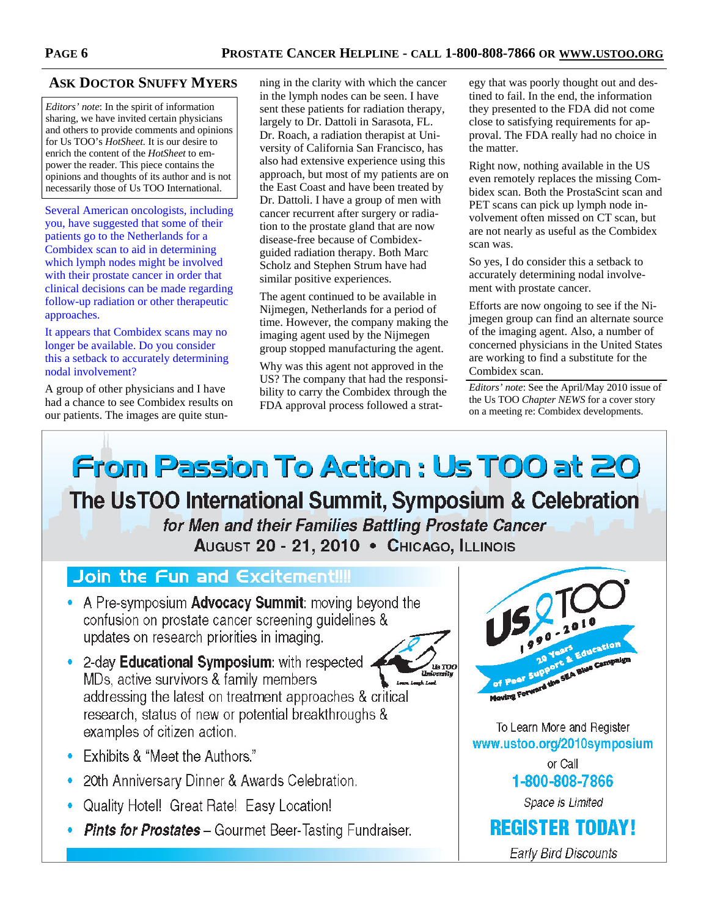# **ASK DOCTOR SNUFFY MYERS**

*Editors' note*: In the spirit of information sharing, we have invited certain physicians and others to provide comments and opinions for Us TOO's *HotSheet.* It is our desire to enrich the content of the *HotSheet* to empower the reader. This piece contains the opinions and thoughts of its author and is not necessarily those of Us TOO International.

Several American oncologists, including you, have suggested that some of their patients go to the Netherlands for a Combidex scan to aid in determining which lymph nodes might be involved with their prostate cancer in order that clinical decisions can be made regarding follow-up radiation or other therapeutic approaches.

It appears that Combidex scans may no longer be available. Do you consider this a setback to accurately determining nodal involvement?

A group of other physicians and I have had a chance to see Combidex results on our patients. The images are quite stunning in the clarity with which the cancer in the lymph nodes can be seen. I have sent these patients for radiation therapy, largely to Dr. Dattoli in Sarasota, FL. Dr. Roach, a radiation therapist at University of California San Francisco, has also had extensive experience using this approach, but most of my patients are on the East Coast and have been treated by Dr. Dattoli. I have a group of men with cancer recurrent after surgery or radiation to the prostate gland that are now disease-free because of Combidexguided radiation therapy. Both Marc Scholz and Stephen Strum have had similar positive experiences.

The agent continued to be available in Nijmegen, Netherlands for a period of time. However, the company making the imaging agent used by the Nijmegen group stopped manufacturing the agent.

Why was this agent not approved in the US? The company that had the responsibility to carry the Combidex through the FDA approval process followed a strategy that was poorly thought out and destined to fail. In the end, the information they presented to the FDA did not come close to satisfying requirements for approval. The FDA really had no choice in the matter.

Right now, nothing available in the US even remotely replaces the missing Combidex scan. Both the ProstaScint scan and PET scans can pick up lymph node involvement often missed on CT scan, but are not nearly as useful as the Combidex scan was.

So yes, I do consider this a setback to accurately determining nodal involvement with prostate cancer.

Efforts are now ongoing to see if the Nijmegen group can find an alternate source of the imaging agent. Also, a number of concerned physicians in the United States are working to find a substitute for the Combidex scan.

*Editors' note*: See the April/May 2010 issue of the Us TOO *Chapter NEWS* for a cover story on a meeting re: Combidex developments.

**From Passion To Action : Us TOO at 20** The UsTOO International Summit, Symposium & Celebration for Men and their Families Battling Prostate Cancer AUGUST 20 - 21, 2010 • CHICAGO, ILLINOIS

# Join the Fun and Excitement!!!

- A Pre-symposium Advocacy Summit: moving beyond the confusion on prostate cancer screening quidelines & updates on research priorities in imaging.
- 2-day **Educational Symposium**: with respected. MDs, active survivors & family members addressing the latest on treatment approaches & critical research, status of new or potential breakthroughs & examples of citizen action.
- Exhibits & "Meet the Authors."
- 20th Anniversary Dinner & Awards Celebration.
- Quality Hotel! Great Rate! Easy Location!
- Pints for Prostates Gourmet Beer-Tasting Fundraiser.



ua moc

**Early Bird Discounts**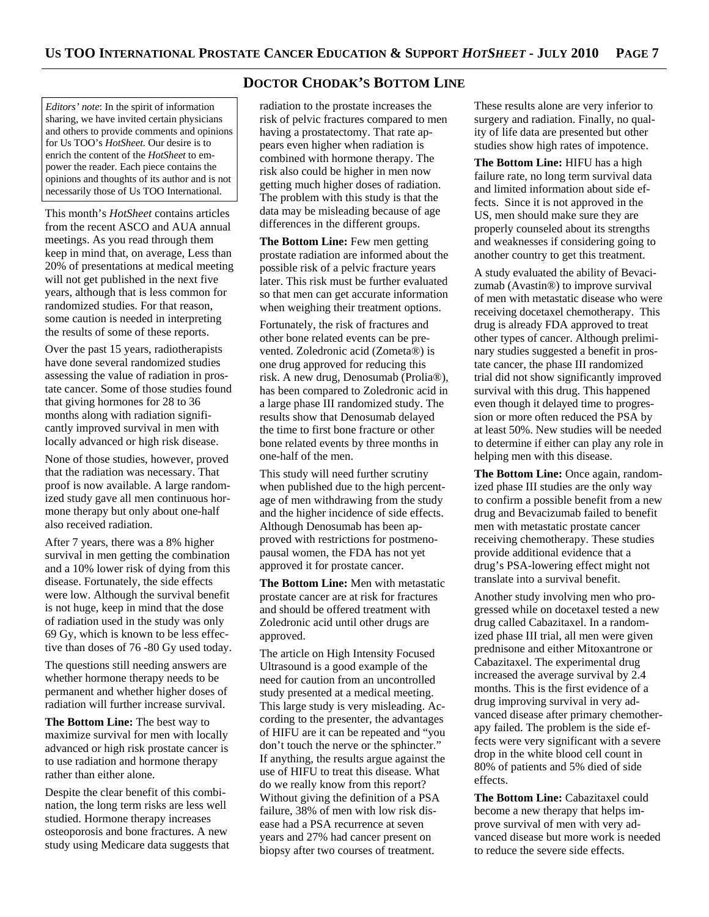#### *Editors' note*: In the spirit of information sharing, we have invited certain physicians and others to provide comments and opinions for Us TOO's *HotSheet.* Our desire is to enrich the content of the *HotSheet* to empower the reader. Each piece contains the opinions and thoughts of its author and is not necessarily those of Us TOO International.

This month's *HotSheet* contains articles from the recent ASCO and AUA annual meetings. As you read through them keep in mind that, on average, Less than 20% of presentations at medical meeting will not get published in the next five years, although that is less common for randomized studies. For that reason, some caution is needed in interpreting the results of some of these reports.

Over the past 15 years, radiotherapists have done several randomized studies assessing the value of radiation in prostate cancer. Some of those studies found that giving hormones for 28 to 36 months along with radiation significantly improved survival in men with locally advanced or high risk disease.

None of those studies, however, proved that the radiation was necessary. That proof is now available. A large randomized study gave all men continuous hormone therapy but only about one-half also received radiation.

After 7 years, there was a 8% higher survival in men getting the combination and a 10% lower risk of dying from this disease. Fortunately, the side effects were low. Although the survival benefit is not huge, keep in mind that the dose of radiation used in the study was only 69 Gy, which is known to be less effective than doses of 76 -80 Gy used today.

The questions still needing answers are whether hormone therapy needs to be permanent and whether higher doses of radiation will further increase survival.

**The Bottom Line:** The best way to maximize survival for men with locally advanced or high risk prostate cancer is to use radiation and hormone therapy rather than either alone.

Despite the clear benefit of this combination, the long term risks are less well studied. Hormone therapy increases osteoporosis and bone fractures. A new study using Medicare data suggests that

## **DOCTOR CHODAK'S BOTTOM LINE**

radiation to the prostate increases the risk of pelvic fractures compared to men having a prostatectomy. That rate appears even higher when radiation is combined with hormone therapy. The risk also could be higher in men now getting much higher doses of radiation. The problem with this study is that the data may be misleading because of age differences in the different groups.

**The Bottom Line:** Few men getting prostate radiation are informed about the possible risk of a pelvic fracture years later. This risk must be further evaluated so that men can get accurate information when weighing their treatment options.

Fortunately, the risk of fractures and other bone related events can be prevented. Zoledronic acid (Zometa®) is one drug approved for reducing this risk. A new drug, Denosumab (Prolia®), has been compared to Zoledronic acid in a large phase III randomized study. The results show that Denosumab delayed the time to first bone fracture or other bone related events by three months in one-half of the men.

This study will need further scrutiny when published due to the high percentage of men withdrawing from the study and the higher incidence of side effects. Although Denosumab has been approved with restrictions for postmenopausal women, the FDA has not yet approved it for prostate cancer.

**The Bottom Line:** Men with metastatic prostate cancer are at risk for fractures and should be offered treatment with Zoledronic acid until other drugs are approved.

The article on High Intensity Focused Ultrasound is a good example of the need for caution from an uncontrolled study presented at a medical meeting. This large study is very misleading. According to the presenter, the advantages of HIFU are it can be repeated and "you don't touch the nerve or the sphincter." If anything, the results argue against the use of HIFU to treat this disease. What do we really know from this report? Without giving the definition of a PSA failure, 38% of men with low risk disease had a PSA recurrence at seven years and 27% had cancer present on biopsy after two courses of treatment.

These results alone are very inferior to surgery and radiation. Finally, no quality of life data are presented but other studies show high rates of impotence.

**The Bottom Line:** HIFU has a high failure rate, no long term survival data and limited information about side effects. Since it is not approved in the US, men should make sure they are properly counseled about its strengths and weaknesses if considering going to another country to get this treatment.

A study evaluated the ability of Bevacizumab (Avastin®) to improve survival of men with metastatic disease who were receiving docetaxel chemotherapy. This drug is already FDA approved to treat other types of cancer. Although preliminary studies suggested a benefit in prostate cancer, the phase III randomized trial did not show significantly improved survival with this drug. This happened even though it delayed time to progression or more often reduced the PSA by at least 50%. New studies will be needed to determine if either can play any role in helping men with this disease.

**The Bottom Line:** Once again, randomized phase III studies are the only way to confirm a possible benefit from a new drug and Bevacizumab failed to benefit men with metastatic prostate cancer receiving chemotherapy. These studies provide additional evidence that a drug's PSA-lowering effect might not translate into a survival benefit.

Another study involving men who progressed while on docetaxel tested a new drug called Cabazitaxel. In a randomized phase III trial, all men were given prednisone and either Mitoxantrone or Cabazitaxel. The experimental drug increased the average survival by 2.4 months. This is the first evidence of a drug improving survival in very advanced disease after primary chemotherapy failed. The problem is the side effects were very significant with a severe drop in the white blood cell count in 80% of patients and 5% died of side effects.

**The Bottom Line:** Cabazitaxel could become a new therapy that helps improve survival of men with very advanced disease but more work is needed to reduce the severe side effects.